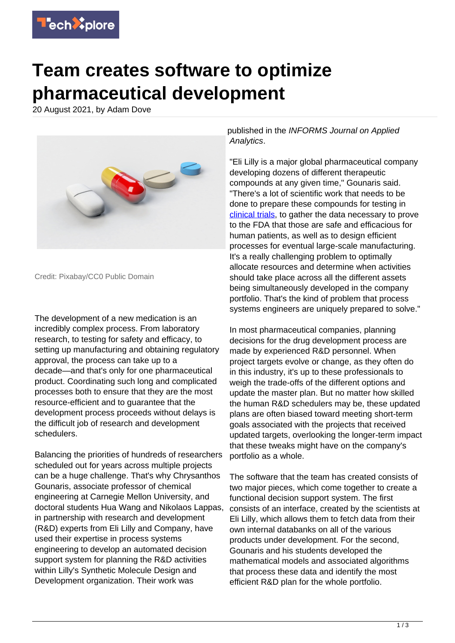

## **Team creates software to optimize pharmaceutical development**

20 August 2021, by Adam Dove



Credit: Pixabay/CC0 Public Domain

The development of a new medication is an incredibly complex process. From laboratory research, to testing for safety and efficacy, to setting up manufacturing and obtaining regulatory approval, the process can take up to a decade—and that's only for one pharmaceutical product. Coordinating such long and complicated processes both to ensure that they are the most resource-efficient and to guarantee that the development process proceeds without delays is the difficult job of research and development schedulers.

Balancing the priorities of hundreds of researchers scheduled out for years across multiple projects can be a huge challenge. That's why Chrysanthos Gounaris, associate professor of chemical engineering at Carnegie Mellon University, and doctoral students Hua Wang and Nikolaos Lappas, in partnership with research and development (R&D) experts from Eli Lilly and Company, have used their expertise in process systems engineering to develop an automated decision support system for planning the R&D activities within Lilly's Synthetic Molecule Design and Development organization. Their work was

published in the INFORMS Journal on Applied Analytics.

"Eli Lilly is a major global pharmaceutical company developing dozens of different therapeutic compounds at any given time," Gounaris said. "There's a lot of scientific work that needs to be done to prepare these compounds for testing in [clinical trials,](https://techxplore.com/tags/clinical+trials/) to gather the data necessary to prove to the FDA that those are safe and efficacious for human patients, as well as to design efficient processes for eventual large-scale manufacturing. It's a really challenging problem to optimally allocate resources and determine when activities should take place across all the different assets being simultaneously developed in the company portfolio. That's the kind of problem that process systems engineers are uniquely prepared to solve."

In most pharmaceutical companies, planning decisions for the drug development process are made by experienced R&D personnel. When project targets evolve or change, as they often do in this industry, it's up to these professionals to weigh the trade-offs of the different options and update the master plan. But no matter how skilled the human R&D schedulers may be, these updated plans are often biased toward meeting short-term goals associated with the projects that received updated targets, overlooking the longer-term impact that these tweaks might have on the company's portfolio as a whole.

The software that the team has created consists of two major pieces, which come together to create a functional decision support system. The first consists of an interface, created by the scientists at Eli Lilly, which allows them to fetch data from their own internal databanks on all of the various products under development. For the second, Gounaris and his students developed the mathematical models and associated algorithms that process these data and identify the most efficient R&D plan for the whole portfolio.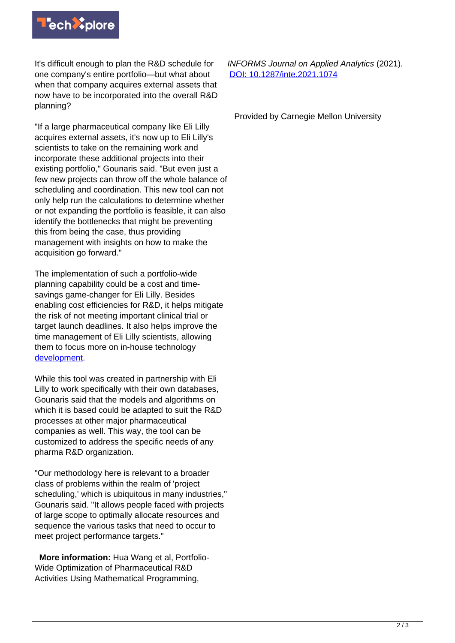

It's difficult enough to plan the R&D schedule for one company's entire portfolio—but what about when that company acquires external assets that now have to be incorporated into the overall R&D planning?

"If a large pharmaceutical company like Eli Lilly acquires external assets, it's now up to Eli Lilly's scientists to take on the remaining work and incorporate these additional projects into their existing portfolio," Gounaris said. "But even just a few new projects can throw off the whole balance of scheduling and coordination. This new tool can not only help run the calculations to determine whether or not expanding the portfolio is feasible, it can also identify the bottlenecks that might be preventing this from being the case, thus providing management with insights on how to make the acquisition go forward."

The implementation of such a portfolio-wide planning capability could be a cost and timesavings game-changer for Eli Lilly. Besides enabling cost efficiencies for R&D, it helps mitigate the risk of not meeting important clinical trial or target launch deadlines. It also helps improve the time management of Eli Lilly scientists, allowing them to focus more on in-house technology [development](https://techxplore.com/tags/development/).

While this tool was created in partnership with Eli Lilly to work specifically with their own databases, Gounaris said that the models and algorithms on which it is based could be adapted to suit the R&D processes at other major pharmaceutical companies as well. This way, the tool can be customized to address the specific needs of any pharma R&D organization.

"Our methodology here is relevant to a broader class of problems within the realm of 'project scheduling,' which is ubiquitous in many industries," Gounaris said. "It allows people faced with projects of large scope to optimally allocate resources and sequence the various tasks that need to occur to meet project performance targets."

 **More information:** Hua Wang et al, Portfolio-Wide Optimization of Pharmaceutical R&D Activities Using Mathematical Programming,

INFORMS Journal on Applied Analytics (2021). [DOI: 10.1287/inte.2021.1074](http://dx.doi.org/10.1287/inte.2021.1074)

Provided by Carnegie Mellon University